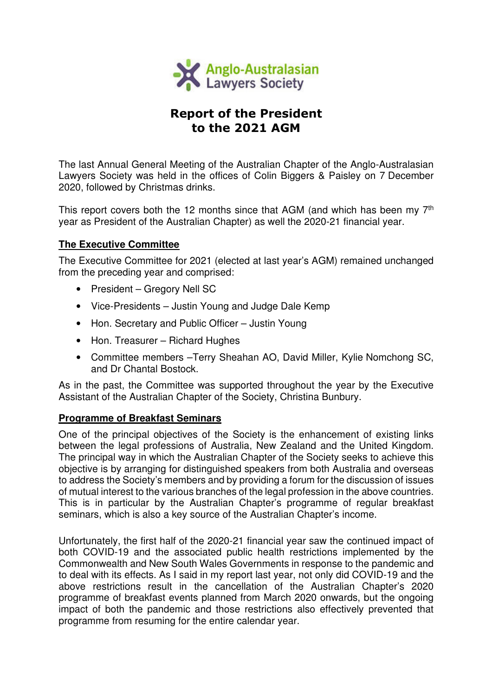

# Report of the President to the 2021 AGM

The last Annual General Meeting of the Australian Chapter of the Anglo-Australasian Lawyers Society was held in the offices of Colin Biggers & Paisley on 7 December 2020, followed by Christmas drinks.

This report covers both the 12 months since that AGM (and which has been my 7<sup>th</sup> year as President of the Australian Chapter) as well the 2020-21 financial year.

## **The Executive Committee**

The Executive Committee for 2021 (elected at last year's AGM) remained unchanged from the preceding year and comprised:

- President Gregory Nell SC
- Vice-Presidents Justin Young and Judge Dale Kemp
- Hon. Secretary and Public Officer Justin Young
- Hon. Treasurer Richard Hughes
- Committee members –Terry Sheahan AO, David Miller, Kylie Nomchong SC, and Dr Chantal Bostock.

As in the past, the Committee was supported throughout the year by the Executive Assistant of the Australian Chapter of the Society, Christina Bunbury.

## **Programme of Breakfast Seminars**

One of the principal objectives of the Society is the enhancement of existing links between the legal professions of Australia, New Zealand and the United Kingdom. The principal way in which the Australian Chapter of the Society seeks to achieve this objective is by arranging for distinguished speakers from both Australia and overseas to address the Society's members and by providing a forum for the discussion of issues of mutual interest to the various branches of the legal profession in the above countries. This is in particular by the Australian Chapter's programme of regular breakfast seminars, which is also a key source of the Australian Chapter's income.

Unfortunately, the first half of the 2020-21 financial year saw the continued impact of both COVID-19 and the associated public health restrictions implemented by the Commonwealth and New South Wales Governments in response to the pandemic and to deal with its effects. As I said in my report last year, not only did COVID-19 and the above restrictions result in the cancellation of the Australian Chapter's 2020 programme of breakfast events planned from March 2020 onwards, but the ongoing impact of both the pandemic and those restrictions also effectively prevented that programme from resuming for the entire calendar year.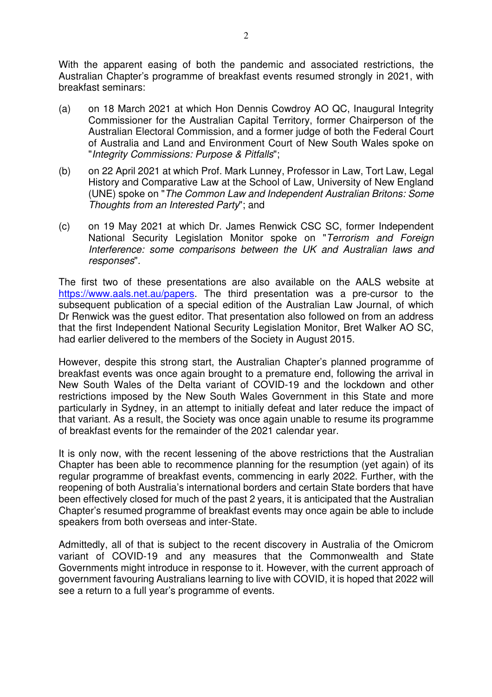With the apparent easing of both the pandemic and associated restrictions, the Australian Chapter's programme of breakfast events resumed strongly in 2021, with breakfast seminars:

- (a) on 18 March 2021 at which Hon Dennis Cowdroy AO QC, Inaugural Integrity Commissioner for the Australian Capital Territory, former Chairperson of the Australian Electoral Commission, and a former judge of both the Federal Court of Australia and Land and Environment Court of New South Wales spoke on "Integrity Commissions: Purpose & Pitfalls";
- (b) on 22 April 2021 at which Prof. Mark Lunney, Professor in Law, Tort Law, Legal History and Comparative Law at the School of Law, University of New England (UNE) spoke on "The Common Law and Independent Australian Britons: Some Thoughts from an Interested Party"; and
- (c) on 19 May 2021 at which Dr. James Renwick CSC SC, former Independent National Security Legislation Monitor spoke on "Terrorism and Foreign Interference: some comparisons between the UK and Australian laws and responses".

The first two of these presentations are also available on the AALS website at https://www.aals.net.au/papers. The third presentation was a pre-cursor to the subsequent publication of a special edition of the Australian Law Journal, of which Dr Renwick was the guest editor. That presentation also followed on from an address that the first Independent National Security Legislation Monitor, Bret Walker AO SC, had earlier delivered to the members of the Society in August 2015.

However, despite this strong start, the Australian Chapter's planned programme of breakfast events was once again brought to a premature end, following the arrival in New South Wales of the Delta variant of COVID-19 and the lockdown and other restrictions imposed by the New South Wales Government in this State and more particularly in Sydney, in an attempt to initially defeat and later reduce the impact of that variant. As a result, the Society was once again unable to resume its programme of breakfast events for the remainder of the 2021 calendar year.

It is only now, with the recent lessening of the above restrictions that the Australian Chapter has been able to recommence planning for the resumption (yet again) of its regular programme of breakfast events, commencing in early 2022. Further, with the reopening of both Australia's international borders and certain State borders that have been effectively closed for much of the past 2 years, it is anticipated that the Australian Chapter's resumed programme of breakfast events may once again be able to include speakers from both overseas and inter-State.

Admittedly, all of that is subject to the recent discovery in Australia of the Omicrom variant of COVID-19 and any measures that the Commonwealth and State Governments might introduce in response to it. However, with the current approach of government favouring Australians learning to live with COVID, it is hoped that 2022 will see a return to a full year's programme of events.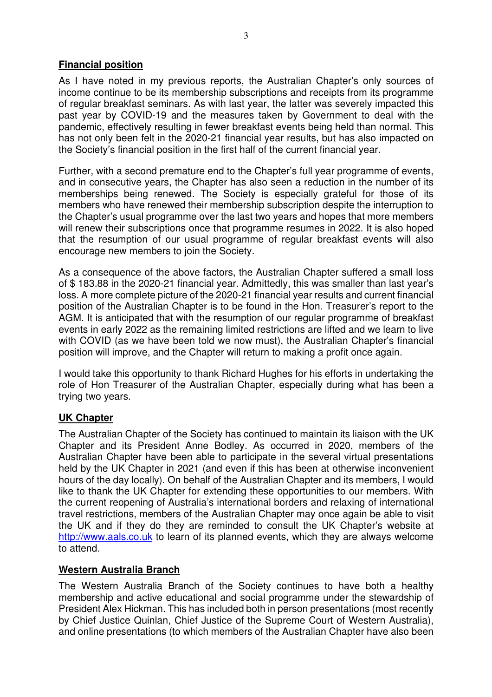### **Financial position**

As I have noted in my previous reports, the Australian Chapter's only sources of income continue to be its membership subscriptions and receipts from its programme of regular breakfast seminars. As with last year, the latter was severely impacted this past year by COVID-19 and the measures taken by Government to deal with the pandemic, effectively resulting in fewer breakfast events being held than normal. This has not only been felt in the 2020-21 financial year results, but has also impacted on the Society's financial position in the first half of the current financial year.

Further, with a second premature end to the Chapter's full year programme of events, and in consecutive years, the Chapter has also seen a reduction in the number of its memberships being renewed. The Society is especially grateful for those of its members who have renewed their membership subscription despite the interruption to the Chapter's usual programme over the last two years and hopes that more members will renew their subscriptions once that programme resumes in 2022. It is also hoped that the resumption of our usual programme of regular breakfast events will also encourage new members to join the Society.

As a consequence of the above factors, the Australian Chapter suffered a small loss of \$ 183.88 in the 2020-21 financial year. Admittedly, this was smaller than last year's loss. A more complete picture of the 2020-21 financial year results and current financial position of the Australian Chapter is to be found in the Hon. Treasurer's report to the AGM. It is anticipated that with the resumption of our regular programme of breakfast events in early 2022 as the remaining limited restrictions are lifted and we learn to live with COVID (as we have been told we now must), the Australian Chapter's financial position will improve, and the Chapter will return to making a profit once again.

I would take this opportunity to thank Richard Hughes for his efforts in undertaking the role of Hon Treasurer of the Australian Chapter, especially during what has been a trying two years.

## **UK Chapter**

The Australian Chapter of the Society has continued to maintain its liaison with the UK Chapter and its President Anne Bodley. As occurred in 2020, members of the Australian Chapter have been able to participate in the several virtual presentations held by the UK Chapter in 2021 (and even if this has been at otherwise inconvenient hours of the day locally). On behalf of the Australian Chapter and its members, I would like to thank the UK Chapter for extending these opportunities to our members. With the current reopening of Australia's international borders and relaxing of international travel restrictions, members of the Australian Chapter may once again be able to visit the UK and if they do they are reminded to consult the UK Chapter's website at http://www.aals.co.uk to learn of its planned events, which they are always welcome to attend.

#### **Western Australia Branch**

The Western Australia Branch of the Society continues to have both a healthy membership and active educational and social programme under the stewardship of President Alex Hickman. This has included both in person presentations (most recently by Chief Justice Quinlan, Chief Justice of the Supreme Court of Western Australia), and online presentations (to which members of the Australian Chapter have also been